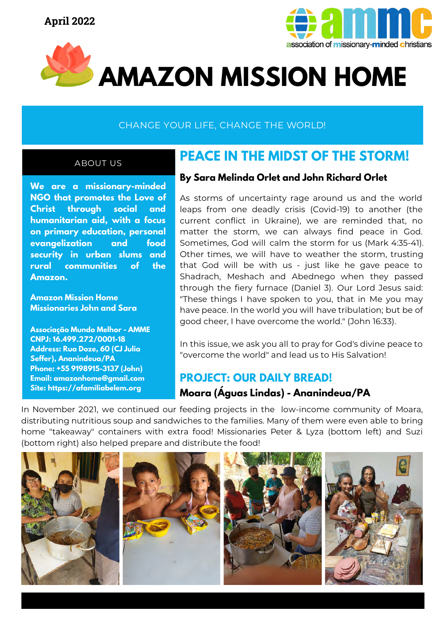



# **AMAZON MISSION HOME**

### CHANGE YOUR LIFE, CHANGE THE WORLD!

#### ABOUT US

**We are a missionary-minded NGO that promotes the Love of Christ through social and humanitarian aid, with a focus on primary education, personal evangelization and food security in urban slums and rural communities of the Amazon.**

**Amazon Mission Home Missionaries John and Sara**

**Associação Mundo Melhor - AMME CNPJ: 16.499.272/0001-18 Address: Rua Doze, 60 (CJ Julia Seffer), Ananindeua/PA Phone: +55 9198915-3137 (John) Email: amazonhome@gmail.com Site: https://afamiliabelem.org**

# **PEACE IN THE MIDST OF THE STORM!**

#### **By Sara Melinda Orlet and John Richard Orlet**

As storms of uncertainty rage around us and the world leaps from one deadly crisis (Covid-19) to another (the current conflict in Ukraine), we are reminded that, no matter the storm, we can always find peace in God. Sometimes, God will calm the storm for us (Mark 4:35-41). Other times, we will have to weather the storm, trusting that God will be with us - just like he gave peace to Shadrach, Meshach and Abednego when they passed through the fiery furnace (Daniel 3). Our Lord Jesus said: "These things I have spoken to you, that in Me you may have peace. In the world you will have tribulation; but be of good cheer, I have overcome the world." (John 16:33).

In this issue, we ask you all to pray for God's divine peace to "overcome the world" and lead us to His Salvation!

## **PROJECT: OUR DAILY BREAD! Moara (Águas Lindas) - Ananindeua/PA**

In November 2021, we continued our feeding projects in the low-income community of Moara, distributing nutritious soup and sandwiches to the families. Many of them were even able to bring home "takeaway" containers with extra food! Missionaries Peter & Lyza (bottom left) and Suzi (bottom right) also helped prepare and distribute the food!

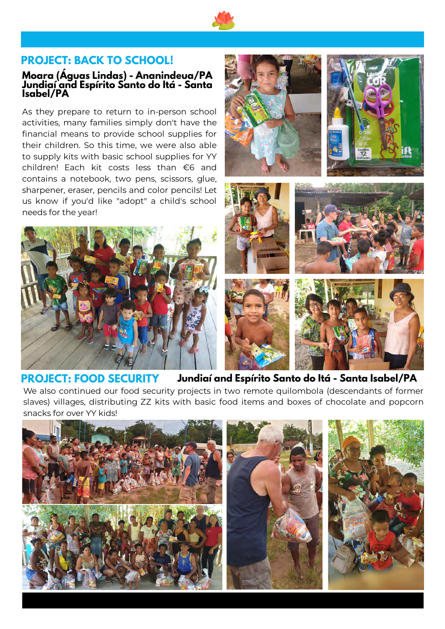

#### **PROJECT: BACK TO SCHOOL!**

#### **Moara (Águas Lindas) - Ananindeua/PA Jundiaí and Espírito Santo do Itá - Santa Isabel/PA**

As they prepare to return to in-person school activities, many families simply don't have the financial means to provide school supplies for their children. So this time, we were also able to supply kits with basic school supplies for YY children! Each kit costs less than €6 and contains a notebook, two pens, scissors, glue, sharpener, eraser, pencils and color pencils! Let us know if you'd like "adopt" a child's school needs for the year!















#### **PROJECT: FOOD SECURITY Jundiaí and Espírito Santo do Itá - Santa Isabel/PA**

We also continued our food security projects in two remote quilombola (descendants of former slaves) villages, distributing ZZ kits with basic food items and boxes of chocolate and popcorn snacks for over YY kids!